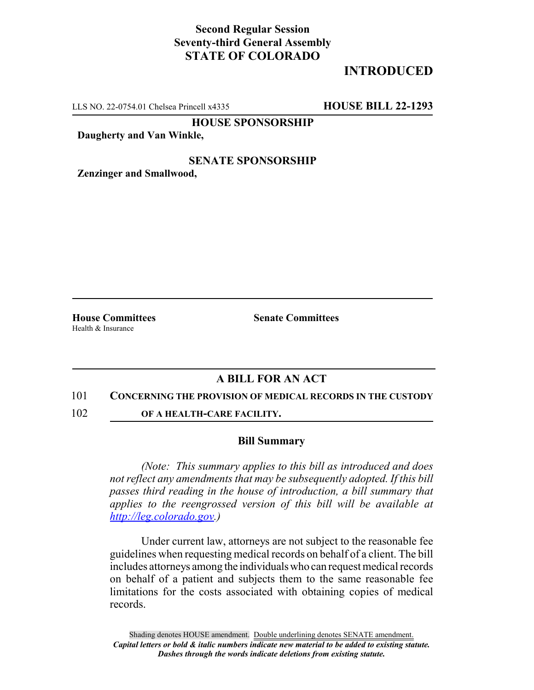## **Second Regular Session Seventy-third General Assembly STATE OF COLORADO**

# **INTRODUCED**

LLS NO. 22-0754.01 Chelsea Princell x4335 **HOUSE BILL 22-1293**

**HOUSE SPONSORSHIP**

**Daugherty and Van Winkle,**

### **SENATE SPONSORSHIP**

**Zenzinger and Smallwood,**

Health & Insurance

**House Committees Senate Committees** 

## **A BILL FOR AN ACT**

#### 101 **CONCERNING THE PROVISION OF MEDICAL RECORDS IN THE CUSTODY**

102 **OF A HEALTH-CARE FACILITY.**

#### **Bill Summary**

*(Note: This summary applies to this bill as introduced and does not reflect any amendments that may be subsequently adopted. If this bill passes third reading in the house of introduction, a bill summary that applies to the reengrossed version of this bill will be available at http://leg.colorado.gov.)*

Under current law, attorneys are not subject to the reasonable fee guidelines when requesting medical records on behalf of a client. The bill includes attorneys among the individuals who can request medical records on behalf of a patient and subjects them to the same reasonable fee limitations for the costs associated with obtaining copies of medical records.